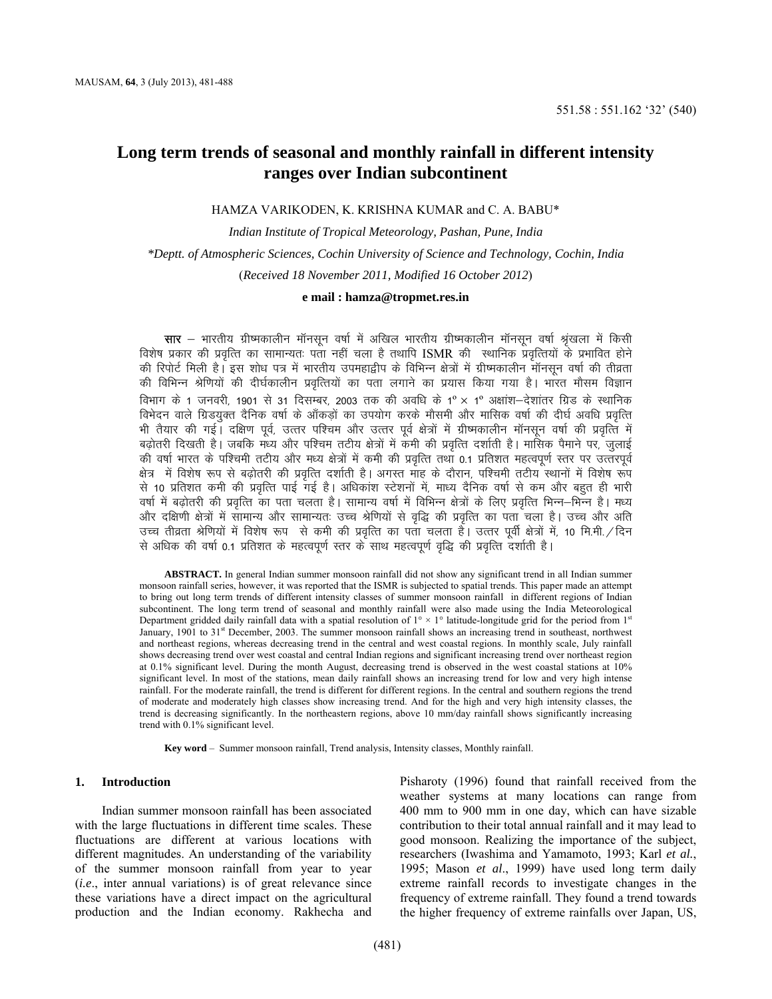# **Long term trends of seasonal and monthly rainfall in different intensity ranges over Indian subcontinent**

HAMZA VARIKODEN, K. KRISHNA KUMAR and C. A. BABU\*

*Indian Institute of Tropical Meteorology, Pashan, Pune, India \*Deptt. of Atmospheric Sciences, Cochin University of Science and Technology, Cochin, India*  (*Received 18 November 2011, Modified 16 October 2012*)

## **e mail : [hamza@tropmet.res.in](mailto:hamza@tropmet.res.in)**

**सार** — भारतीय ग्रीष्मकालीन मॉनसून वर्षा में अखिल भारतीय ग्रीष्मकालीन मॉनसून वर्षा श्रृंखला में किसी विशेष प्रकार की प्रवृत्ति का सामान्यतः पता नहीं चला है तथापि ISMR की स्थानिक प्रवृत्तियों के प्रभावित होने की रिपोर्ट मिली है। इस शोध पत्र में भारतीय उपमहाद्वीप के विभिन्न क्षेत्रों में ग्रीष्मकालीन मॉनसून वर्षा की तीव्रता की विभिन्न श्रेणियों की दीर्घकालीन प्रवृत्तियों का पता लगाने का प्रयास किया गया है। भारत मौसम विज्ञान विभाग के 1 जनवरी, 1901 से 31 दिसम्बर, 2003 तक की अवधि के 1º × 1º अक्षांश—देशांतर ग्रिड के स्थानिक विभेदन वाले ग्रिडयुक्त दैनिक वर्षा के ऑकडों का उपयोग करके मौसमी और मासिक वर्षा की दीर्घ अवधि प्रवृत्ति भी तैयार की गई। दक्षिण पूर्व, उत्तर पश्चिम और उत्तर पूर्व क्षेत्रों में ग्रीष्मकालीन मॉनसून वर्षा की प्रवृत्ति में बढ़ोतरी दिखती है। जबकि मध्य और पश्चिम तटीय क्षेत्रों में कमी की प्रवृत्ति दर्शाती है। मासिक पैमाने पर, जुलाई की वर्षा भारत के पश्चिमी तटीय और मध्य क्षेत्रों में कमी की प्रवृत्ति तथा 0.1 प्रतिशत महत्वपूर्ण स्तर पर उत्तरपूर्व क्षेत्र) में विशेष रूप से बढोतरी की प्रवृत्ति दर्शाती है। अगस्त माह के दौरान, पश्चिमी तटीय स्थानों में विशेष रूप से 10 प्रतिशत कमी की प्रवृत्ति पाई गई है। अधिकांश स्टेशनों में, माध्य दैनिक वर्षा से कम और बहुत ही भारी वर्षा में बढोतरी की प्रवृत्ति का पता चलता है। सामान्य वर्षा में विभिन्न क्षेत्रों के लिए प्रवृत्ति भिन्न–भिन्न है। मध्य ओर दक्षिणी क्षेत्रों में सामान्य और सामान्यतः उच्च श्रेणियों से वृद्धि की प्रवृत्ति का पता चला है। उच्च और अति उच्च तीव्रता श्रेणियों में विशेष रूप से कमी की प्रवृत्ति का पता चलता हैं। उत्तर पूर्वी क्षेत्रों में, 10 मि.मी./दिन से अधिक की वर्षा 0.1 प्रतिशत के महत्वपूर्ण स्तर के साथ महत्वपूर्ण वृद्धि की प्रवृत्ति दर्शाती है।

**ABSTRACT.** In general Indian summer monsoon rainfall did not show any significant trend in all Indian summer monsoon rainfall series, however, it was reported that the ISMR is subjected to spatial trends. This paper made an attempt to bring out long term trends of different intensity classes of summer monsoon rainfall in different regions of Indian subcontinent. The long term trend of seasonal and monthly rainfall were also made using the India Meteorological Department gridded daily rainfall data with a spatial resolution of  $1^\circ \times 1^\circ$  latitude-longitude grid for the period from  $1^\text{st}$ January, 1901 to 31<sup>st</sup> December, 2003. The summer monsoon rainfall shows an increasing trend in southeast, northwest and northeast regions, whereas decreasing trend in the central and west coastal regions. In monthly scale, July rainfall shows decreasing trend over west coastal and central Indian regions and significant increasing trend over northeast region at 0.1% significant level. During the month August, decreasing trend is observed in the west coastal stations at 10% significant level. In most of the stations, mean daily rainfall shows an increasing trend for low and very high intense rainfall. For the moderate rainfall, the trend is different for different regions. In the central and southern regions the trend of moderate and moderately high classes show increasing trend. And for the high and very high intensity classes, the trend is decreasing significantly. In the northeastern regions, above 10 mm/day rainfall shows significantly increasing trend with 0.1% significant level.

**Key word** – Summer monsoon rainfall, Trend analysis, Intensity classes, Monthly rainfall.

## **1. Introduction**

Indian summer monsoon rainfall has been associated with the large fluctuations in different time scales. These fluctuations are different at various locations with different magnitudes. An understanding of the variability of the summer monsoon rainfall from year to year (*i.e*., inter annual variations) is of great relevance since these variations have a direct impact on the agricultural production and the Indian economy. Rakhecha and Pisharoty (1996) found that rainfall received from the weather systems at many locations can range from 400 mm to 900 mm in one day, which can have sizable contribution to their total annual rainfall and it may lead to good monsoon. Realizing the importance of the subject, researchers (Iwashima and Yamamoto, 1993; Karl *et al.*, 1995; Mason *et al*., 1999) have used long term daily extreme rainfall records to investigate changes in the frequency of extreme rainfall. They found a trend towards the higher frequency of extreme rainfalls over Japan, US,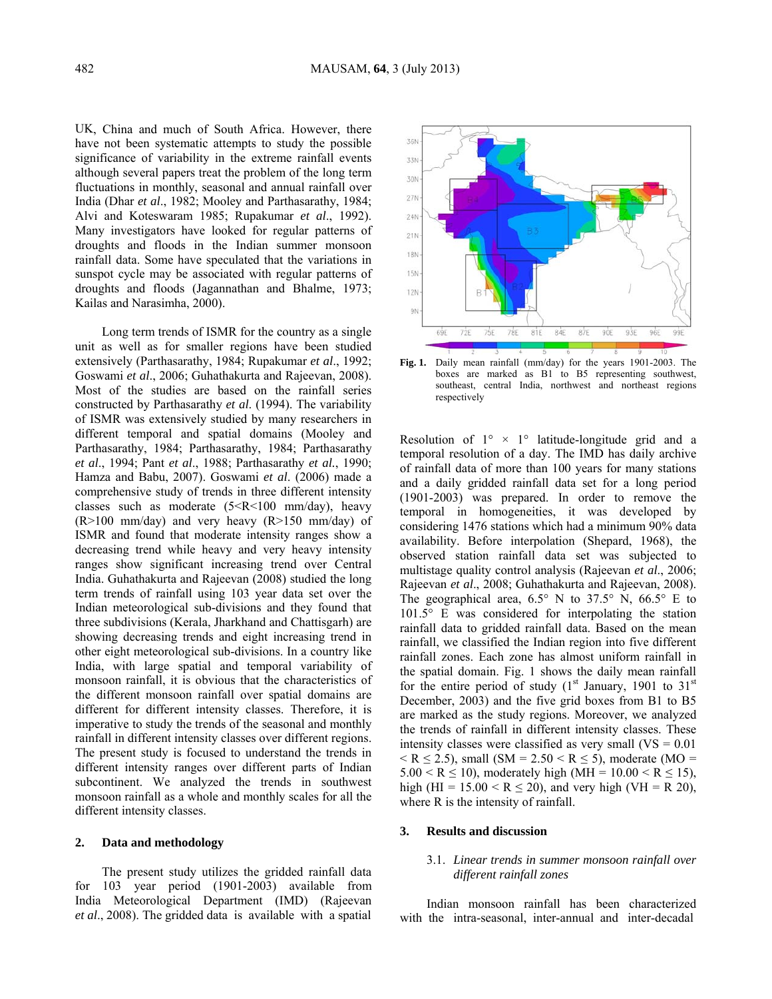UK, China and much of South Africa. However, there have not been systematic attempts to study the possible significance of variability in the extreme rainfall events although several papers treat the problem of the long term fluctuations in monthly, seasonal and annual rainfall over India (Dhar *et al*., 1982; Mooley and Parthasarathy, 1984; Alvi and Koteswaram 1985; Rupakumar *et al*., 1992). Many investigators have looked for regular patterns of droughts and floods in the Indian summer monsoon rainfall data. Some have speculated that the variations in sunspot cycle may be associated with regular patterns of droughts and floods (Jagannathan and Bhalme, 1973; Kailas and Narasimha, 2000).

Long term trends of ISMR for the country as a single unit as well as for smaller regions have been studied extensively (Parthasarathy, 1984; Rupakumar *et al*., 1992; Goswami *et al*., 2006; Guhathakurta and Rajeevan, 2008). Most of the studies are based on the rainfall series constructed by Parthasarathy *et al*. (1994). The variability of ISMR was extensively studied by many researchers in different temporal and spatial domains (Mooley and Parthasarathy, 1984; Parthasarathy, 1984; Parthasarathy *et al*., 1994; Pant *et al*., 1988; Parthasarathy *et al.*, 1990; Hamza and Babu, 2007). Goswami *et al*. (2006) made a comprehensive study of trends in three different intensity classes such as moderate (5<R<100 mm/day), heavy (R>100 mm/day) and very heavy (R>150 mm/day) of ISMR and found that moderate intensity ranges show a decreasing trend while heavy and very heavy intensity ranges show significant increasing trend over Central India. Guhathakurta and Rajeevan (2008) studied the long term trends of rainfall using 103 year data set over the Indian meteorological sub-divisions and they found that three subdivisions (Kerala, Jharkhand and Chattisgarh) are showing decreasing trends and eight increasing trend in other eight meteorological sub-divisions. In a country like India, with large spatial and temporal variability of monsoon rainfall, it is obvious that the characteristics of the different monsoon rainfall over spatial domains are different for different intensity classes. Therefore, it is imperative to study the trends of the seasonal and monthly rainfall in different intensity classes over different regions. The present study is focused to understand the trends in different intensity ranges over different parts of Indian subcontinent. We analyzed the trends in southwest monsoon rainfall as a whole and monthly scales for all the different intensity classes.

### **2. Data and methodology**

The present study utilizes the gridded rainfall data for 103 year period (1901-2003) available from India Meteorological Department (IMD) (Rajeevan *et al*., 2008). The gridded data is available with a spatial



**Fig. 1.** Daily mean rainfall (mm/day) for the years 1901-2003. The boxes are marked as B1 to B5 representing southwest, southeast, central India, northwest and northeast regions respectively

Resolution of  $1^{\circ} \times 1^{\circ}$  latitude-longitude grid and a temporal resolution of a day. The IMD has daily archive of rainfall data of more than 100 years for many stations and a daily gridded rainfall data set for a long period (1901-2003) was prepared. In order to remove the temporal in homogeneities, it was developed by considering 1476 stations which had a minimum 90% data availability. Before interpolation (Shepard, 1968), the observed station rainfall data set was subjected to multistage quality control analysis (Rajeevan *et al*., 2006; Rajeevan *et al*., 2008; Guhathakurta and Rajeevan, 2008). The geographical area,  $6.5^{\circ}$  N to  $37.5^{\circ}$  N,  $66.5^{\circ}$  E to 101.5° E was considered for interpolating the station rainfall data to gridded rainfall data. Based on the mean rainfall, we classified the Indian region into five different rainfall zones. Each zone has almost uniform rainfall in the spatial domain. Fig. 1 shows the daily mean rainfall for the entire period of study  $(1<sup>st</sup>$  January, 1901 to  $31<sup>st</sup>$ December, 2003) and the five grid boxes from B1 to B5 are marked as the study regions. Moreover, we analyzed the trends of rainfall in different intensity classes. These intensity classes were classified as very small  $(VS = 0.01)$  $\le$  R  $\le$  2.5), small (SM = 2.50  $\le$  R  $\le$  5), moderate (MO = 5.00 < R  $\leq$  10), moderately high (MH = 10.00 < R  $\leq$  15), high (HI = 15.00 < R  $\leq$  20), and very high (VH = R 20), where R is the intensity of rainfall.

## **3. Results and discussion**

## 3.1. *Linear trends in summer monsoon rainfall over different rainfall zones*

Indian monsoon rainfall has been characterized with the intra-seasonal, inter-annual and inter-decadal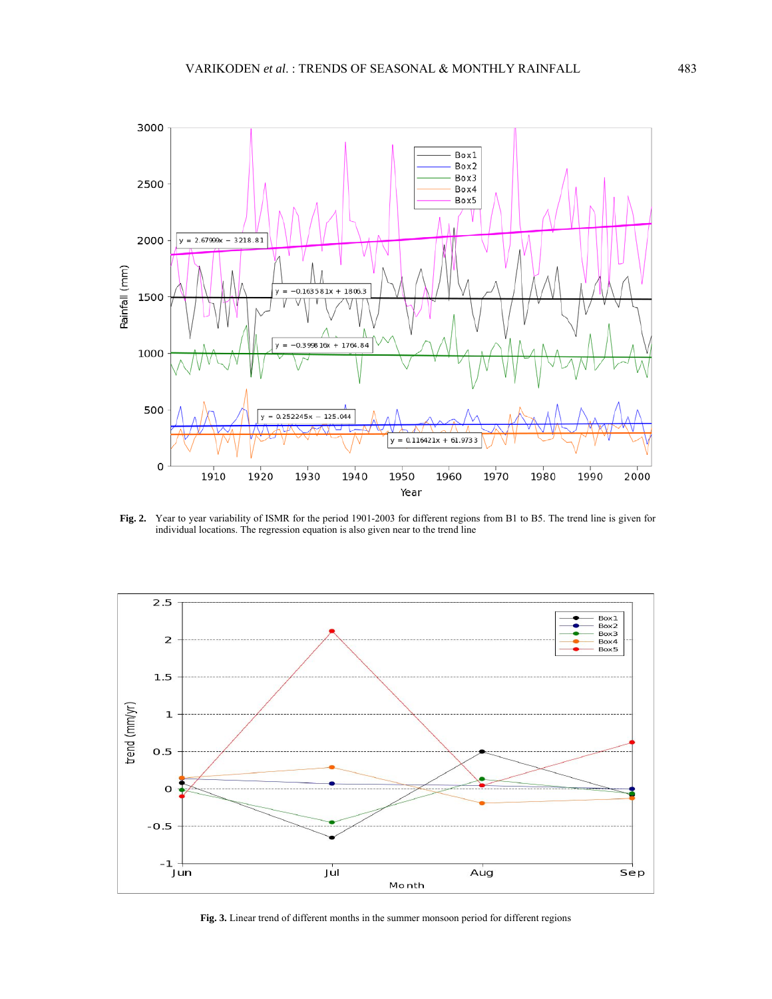

**Fig. 2.** Year to year variability of ISMR for the period 1901-2003 for different regions from B1 to B5. The trend line is given for individual locations. The regression equation is also given near to the trend line



**Fig. 3.** Linear trend of different months in the summer monsoon period for different regions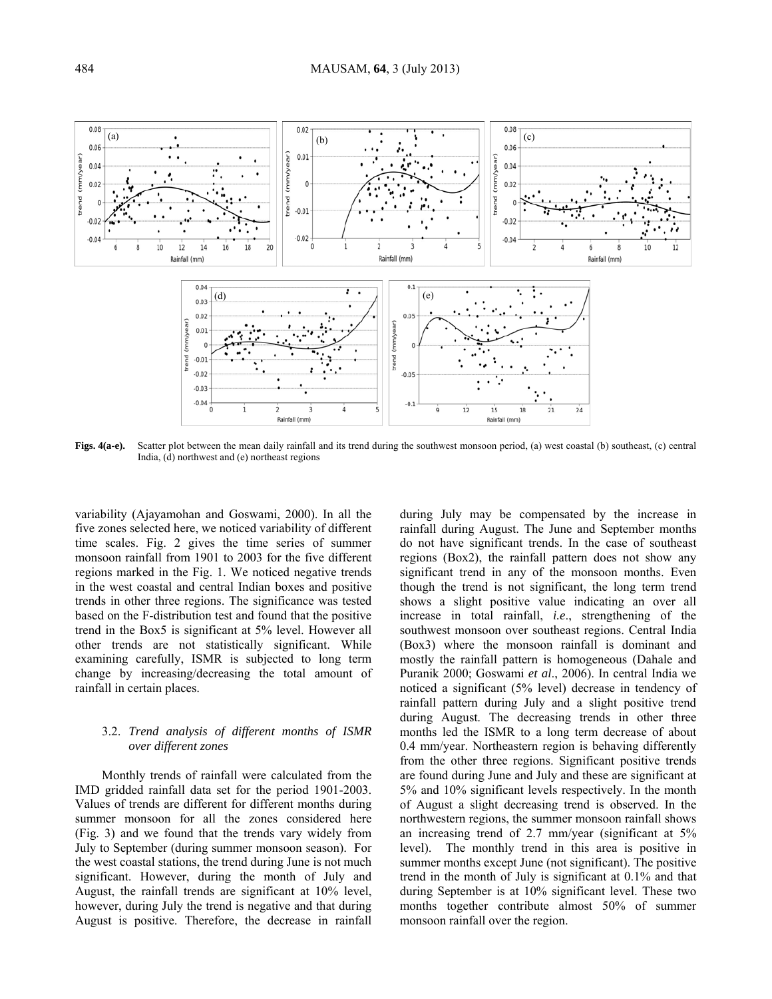

**Figs. 4(a-e).** Scatter plot between the mean daily rainfall and its trend during the southwest monsoon period, (a) west coastal (b) southeast, (c) central India, (d) northwest and (e) northeast regions

variability (Ajayamohan and Goswami, 2000). In all the five zones selected here, we noticed variability of different time scales. Fig. 2 gives the time series of summer monsoon rainfall from 1901 to 2003 for the five different regions marked in the Fig. 1. We noticed negative trends in the west coastal and central Indian boxes and positive trends in other three regions. The significance was tested based on the F-distribution test and found that the positive trend in the Box5 is significant at 5% level. However all other trends are not statistically significant. While examining carefully, ISMR is subjected to long term change by increasing/decreasing the total amount of rainfall in certain places.

# 3.2. *Trend analysis of different months of ISMR over different zones*

Monthly trends of rainfall were calculated from the IMD gridded rainfall data set for the period 1901-2003. Values of trends are different for different months during summer monsoon for all the zones considered here (Fig. 3) and we found that the trends vary widely from July to September (during summer monsoon season). For the west coastal stations, the trend during June is not much significant. However, during the month of July and August, the rainfall trends are significant at 10% level, however, during July the trend is negative and that during August is positive. Therefore, the decrease in rainfall during July may be compensated by the increase in rainfall during August. The June and September months do not have significant trends. In the case of southeast regions (Box2), the rainfall pattern does not show any significant trend in any of the monsoon months. Even though the trend is not significant, the long term trend shows a slight positive value indicating an over all increase in total rainfall, *i.e*., strengthening of the southwest monsoon over southeast regions. Central India (Box3) where the monsoon rainfall is dominant and mostly the rainfall pattern is homogeneous (Dahale and Puranik 2000; Goswami *et al*., 2006). In central India we noticed a significant (5% level) decrease in tendency of rainfall pattern during July and a slight positive trend during August. The decreasing trends in other three months led the ISMR to a long term decrease of about 0.4 mm/year. Northeastern region is behaving differently from the other three regions. Significant positive trends are found during June and July and these are significant at 5% and 10% significant levels respectively. In the month of August a slight decreasing trend is observed. In the northwestern regions, the summer monsoon rainfall shows an increasing trend of 2.7 mm/year (significant at 5% level). The monthly trend in this area is positive in summer months except June (not significant). The positive trend in the month of July is significant at 0.1% and that during September is at 10% significant level. These two months together contribute almost 50% of summer monsoon rainfall over the region.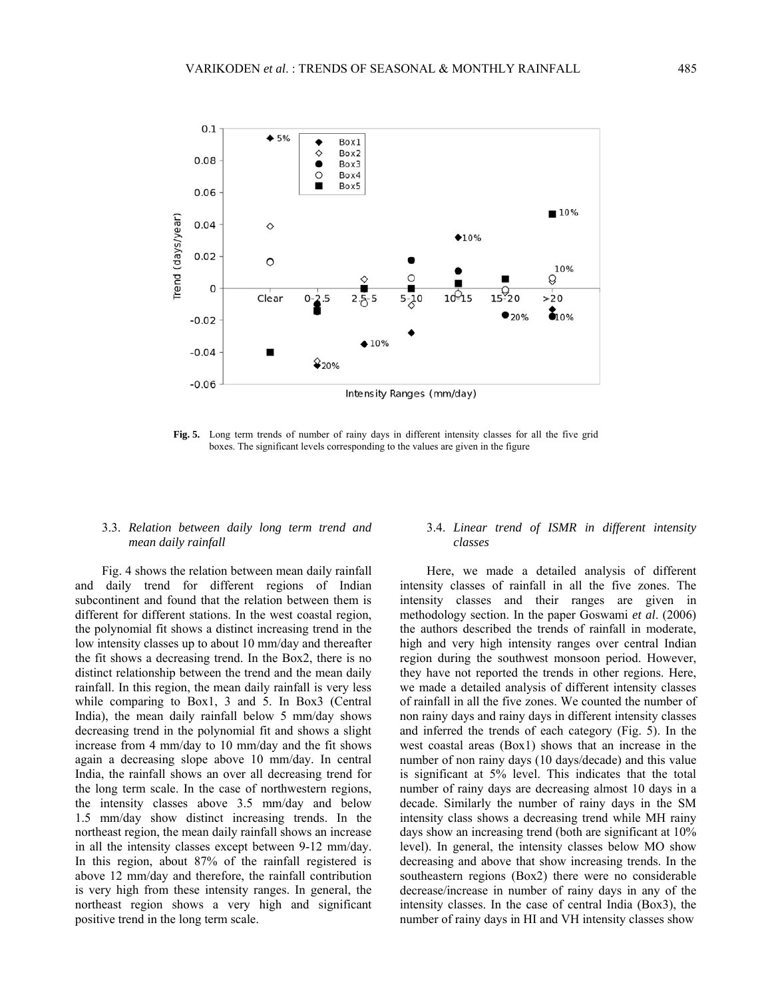

**Fig. 5.** Long term trends of number of rainy days in different intensity classes for all the five grid boxes. The significant levels corresponding to the values are given in the figure

# 3.3. *Relation between daily long term trend and mean daily rainfall*

Fig. 4 shows the relation between mean daily rainfall and daily trend for different regions of Indian subcontinent and found that the relation between them is different for different stations. In the west coastal region, the polynomial fit shows a distinct increasing trend in the low intensity classes up to about 10 mm/day and thereafter the fit shows a decreasing trend. In the Box2, there is no distinct relationship between the trend and the mean daily rainfall. In this region, the mean daily rainfall is very less while comparing to Box1, 3 and 5. In Box3 (Central India), the mean daily rainfall below 5 mm/day shows decreasing trend in the polynomial fit and shows a slight increase from 4 mm/day to 10 mm/day and the fit shows again a decreasing slope above 10 mm/day. In central India, the rainfall shows an over all decreasing trend for the long term scale. In the case of northwestern regions, the intensity classes above 3.5 mm/day and below 1.5 mm/day show distinct increasing trends. In the northeast region, the mean daily rainfall shows an increase in all the intensity classes except between 9-12 mm/day. In this region, about 87% of the rainfall registered is above 12 mm/day and therefore, the rainfall contribution is very high from these intensity ranges. In general, the northeast region shows a very high and significant positive trend in the long term scale.

# 3.4. *Linear trend of ISMR in different intensity classes*

Here, we made a detailed analysis of different intensity classes of rainfall in all the five zones. The intensity classes and their ranges are given in methodology section. In the paper Goswami *et al*. (2006) the authors described the trends of rainfall in moderate, high and very high intensity ranges over central Indian region during the southwest monsoon period. However, they have not reported the trends in other regions. Here, we made a detailed analysis of different intensity classes of rainfall in all the five zones. We counted the number of non rainy days and rainy days in different intensity classes and inferred the trends of each category (Fig. 5). In the west coastal areas (Box1) shows that an increase in the number of non rainy days (10 days/decade) and this value is significant at 5% level. This indicates that the total number of rainy days are decreasing almost 10 days in a decade. Similarly the number of rainy days in the SM intensity class shows a decreasing trend while MH rainy days show an increasing trend (both are significant at 10% level). In general, the intensity classes below MO show decreasing and above that show increasing trends. In the southeastern regions (Box2) there were no considerable decrease/increase in number of rainy days in any of the intensity classes. In the case of central India (Box3), the number of rainy days in HI and VH intensity classes show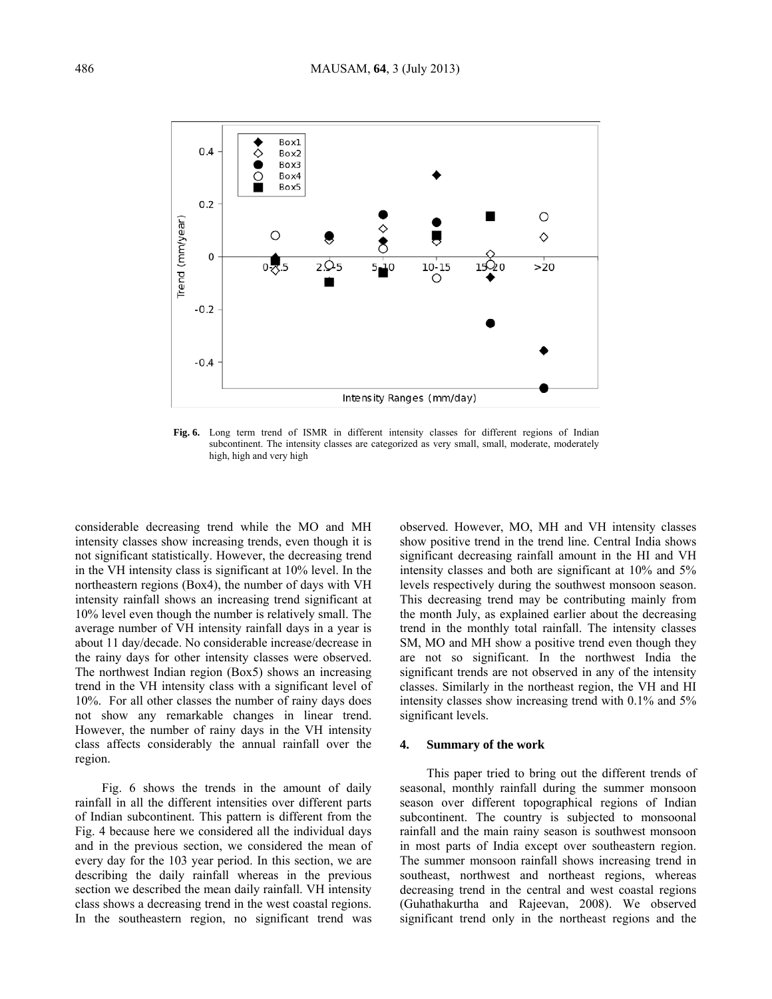

**Fig. 6.** Long term trend of ISMR in different intensity classes for different regions of Indian subcontinent. The intensity classes are categorized as very small, small, moderate, moderately high, high and very high

considerable decreasing trend while the MO and MH intensity classes show increasing trends, even though it is not significant statistically. However, the decreasing trend in the VH intensity class is significant at 10% level. In the northeastern regions (Box4), the number of days with VH intensity rainfall shows an increasing trend significant at 10% level even though the number is relatively small. The average number of VH intensity rainfall days in a year is about 11 day/decade. No considerable increase/decrease in the rainy days for other intensity classes were observed. The northwest Indian region (Box5) shows an increasing trend in the VH intensity class with a significant level of 10%. For all other classes the number of rainy days does not show any remarkable changes in linear trend. However, the number of rainy days in the VH intensity class affects considerably the annual rainfall over the region.

Fig. 6 shows the trends in the amount of daily rainfall in all the different intensities over different parts of Indian subcontinent. This pattern is different from the Fig. 4 because here we considered all the individual days and in the previous section, we considered the mean of every day for the 103 year period. In this section, we are describing the daily rainfall whereas in the previous section we described the mean daily rainfall. VH intensity class shows a decreasing trend in the west coastal regions. In the southeastern region, no significant trend was observed. However, MO, MH and VH intensity classes show positive trend in the trend line. Central India shows significant decreasing rainfall amount in the HI and VH intensity classes and both are significant at 10% and 5% levels respectively during the southwest monsoon season. This decreasing trend may be contributing mainly from the month July, as explained earlier about the decreasing trend in the monthly total rainfall. The intensity classes SM, MO and MH show a positive trend even though they are not so significant. In the northwest India the significant trends are not observed in any of the intensity classes. Similarly in the northeast region, the VH and HI intensity classes show increasing trend with 0.1% and 5% significant levels.

## **4. Summary of the work**

This paper tried to bring out the different trends of seasonal, monthly rainfall during the summer monsoon season over different topographical regions of Indian subcontinent. The country is subjected to monsoonal rainfall and the main rainy season is southwest monsoon in most parts of India except over southeastern region. The summer monsoon rainfall shows increasing trend in southeast, northwest and northeast regions, whereas decreasing trend in the central and west coastal regions (Guhathakurtha and Rajeevan, 2008). We observed significant trend only in the northeast regions and the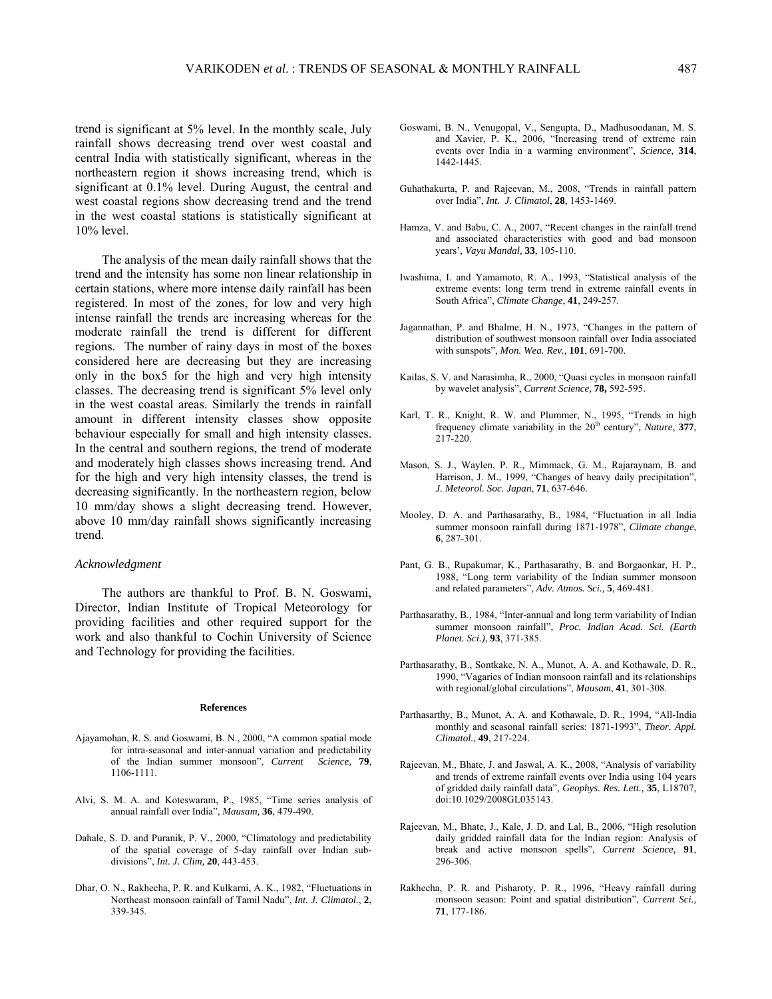trend is significant at 5% level. In the monthly scale, July rainfall shows decreasing trend over west coastal and central India with statistically significant, whereas in the northeastern region it shows increasing trend, which is significant at 0.1% level. During August, the central and west coastal regions show decreasing trend and the trend in the west coastal stations is statistically significant at 10% level.

The analysis of the mean daily rainfall shows that the trend and the intensity has some non linear relationship in certain stations, where more intense daily rainfall has been registered. In most of the zones, for low and very high intense rainfall the trends are increasing whereas for the moderate rainfall the trend is different for different regions. The number of rainy days in most of the boxes considered here are decreasing but they are increasing only in the box5 for the high and very high intensity classes. The decreasing trend is significant 5% level only in the west coastal areas. Similarly the trends in rainfall amount in different intensity classes show opposite behaviour especially for small and high intensity classes. In the central and southern regions, the trend of moderate and moderately high classes shows increasing trend. And for the high and very high intensity classes, the trend is decreasing significantly. In the northeastern region, below 10 mm/day shows a slight decreasing trend. However, above 10 mm/day rainfall shows significantly increasing trend.

#### *Acknowledgment*

The authors are thankful to Prof. B. N. Goswami, Director, Indian Institute of Tropical Meteorology for providing facilities and other required support for the work and also thankful to Cochin University of Science and Technology for providing the facilities.

#### **References**

- Ajayamohan, R. S. and Goswami, B. N., 2000, "A common spatial mode for intra-seasonal and inter-annual variation and predictability of the Indian summer monsoon", *Current Science,* **79**, 1106-1111.
- Alvi, S. M. A. and Koteswaram, P., 1985, "Time series analysis of annual rainfall over India", *Mausam,* **36**, 479-490.
- Dahale, S. D. and Puranik, P. V., 2000, "Climatology and predictability of the spatial coverage of 5-day rainfall over Indian subdivisions", *Int. J. Clim,* **20**, 443-453.
- Dhar, O. N., Rakhecha, P. R. and Kulkarni, A. K., 1982, "Fluctuations in Northeast monsoon rainfall of Tamil Nadu", *Int. J. Climatol*., **2**, 339-345.
- Goswami, B. N., Venugopal, V., Sengupta, D., Madhusoodanan, M. S. and Xavier, P. K., 2006, "Increasing trend of extreme rain events over India in a warming environment", *Science,* **314**, 1442-1445.
- Guhathakurta, P. and Rajeevan, M., 2008, "Trends in rainfall pattern over India", *Int. J. Climatol*, **28**, 1453-1469.
- Hamza, V. and Babu, C. A., 2007, "Recent changes in the rainfall trend and associated characteristics with good and bad monsoon years', *Vayu Mandal,* **33**, 105-110.
- Iwashima, I. and Yamamoto, R. A., 1993, "Statistical analysis of the extreme events: long term trend in extreme rainfall events in South Africa", *Climate Change*, **41**, 249-257.
- Jagannathan, P. and Bhalme, H. N., 1973, "Changes in the pattern of distribution of southwest monsoon rainfall over India associated with sunspots", *Mon. Wea. Rev.,* **101**, 691-700.
- Kailas, S. V. and Narasimha, R., 2000, "Quasi cycles in monsoon rainfall by wavelet analysis", *Current Science,* **78,** 592-595.
- Karl, T. R., Knight, R. W. and Plummer, N., 1995, "Trends in high frequency climate variability in the 20<sup>th</sup> century", *Nature*, 377, 217-220.
- Mason, S. J., Waylen, P. R., Mimmack, G. M., Rajaraynam, B. and Harrison, J. M., 1999, "Changes of heavy daily precipitation", *J. Meteorol. Soc. Japan*, **71**, 637-646.
- Mooley, D. A. and Parthasarathy, B., 1984, "Fluctuation in all India summer monsoon rainfall during 1871-1978", *Climate change*, **6**, 287-301.
- Pant, G. B., Rupakumar, K., Parthasarathy, B. and Borgaonkar, H. P., 1988, "Long term variability of the Indian summer monsoon and related parameters", *Adv. Atmos. Sci.,* **5**, 469-481.
- Parthasarathy, B., 1984, "Inter-annual and long term variability of Indian summer monsoon rainfall", *Proc. Indian Acad. Sci. (Earth Planet. Sci.)*, **93**, 371-385.
- Parthasarathy, B., Sontkake, N. A., Munot, A. A. and Kothawale, D. R., 1990, "Vagaries of Indian monsoon rainfall and its relationships with regional/global circulations", *Mausam*, **41**, 301-308.
- Parthasarthy, B., Munot, A. A. and Kothawale, D. R., 1994, "All-India monthly and seasonal rainfall series: 1871-1993", *Theor. Appl. Climatol.*, **49**, 217-224.
- Rajeevan, M., Bhate, J. and Jaswal, A. K., 2008, "Analysis of variability and trends of extreme rainfall events over India using 104 years of gridded daily rainfall data", *Geophys. Res. Lett.,* **35**, L18707, doi:10.1029/2008GL035143.
- Rajeevan, M., Bhate, J., Kale, J. D. and Lal, B., 2006, "High resolution daily gridded rainfall data for the Indian region: Analysis of break and active monsoon spells", *Current Science,* **91**, 296-306.
- Rakhecha, P. R. and Pisharoty, P. R., 1996, "Heavy rainfall during monsoon season: Point and spatial distribution", *Current Sci.,* **71**, 177-186.